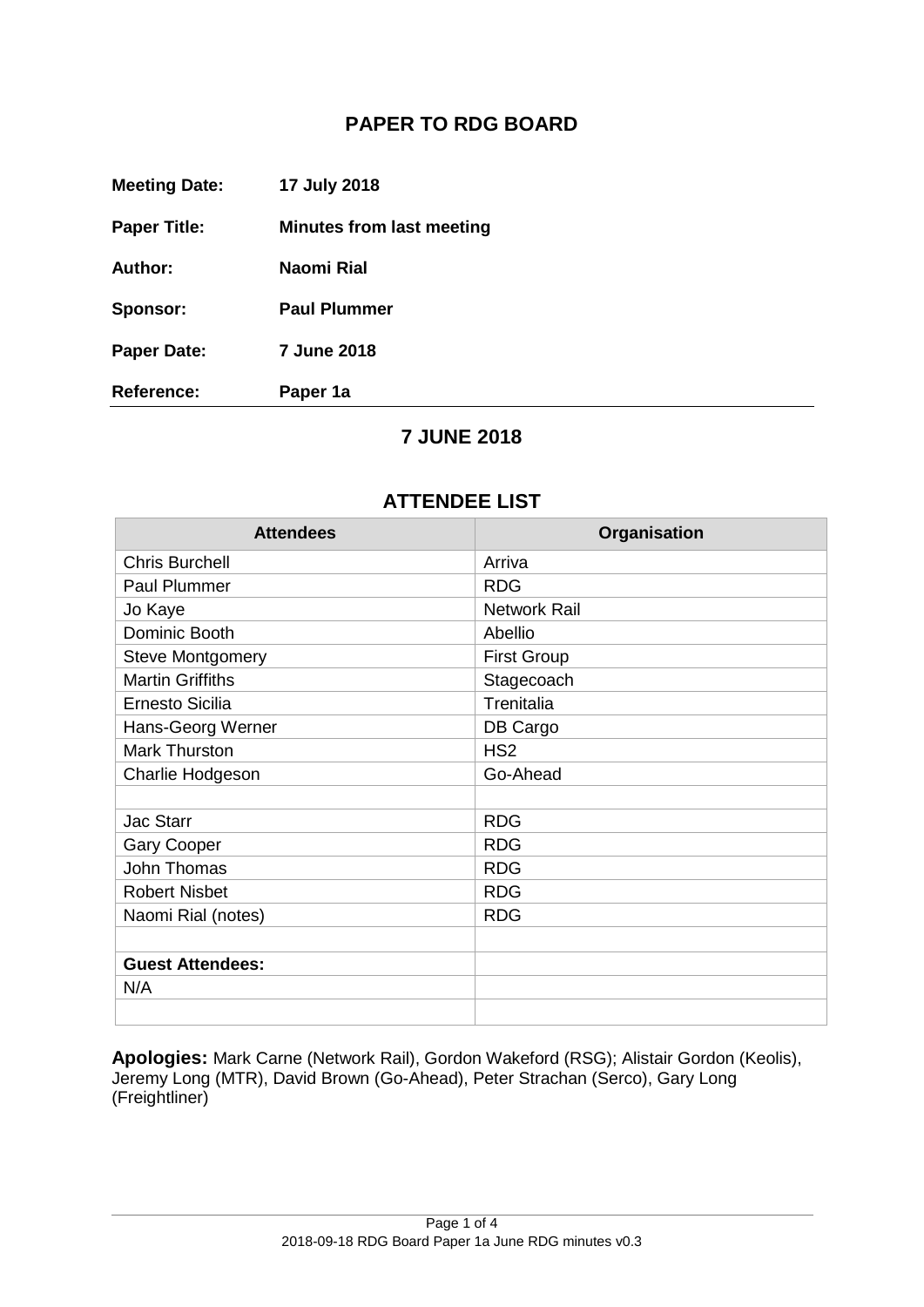## **PAPER TO RDG BOARD**

| <b>Meeting Date:</b> | 17 July 2018                     |
|----------------------|----------------------------------|
| <b>Paper Title:</b>  | <b>Minutes from last meeting</b> |
| <b>Author:</b>       | Naomi Rial                       |
| Sponsor:             | <b>Paul Plummer</b>              |
| <b>Paper Date:</b>   | <b>7 June 2018</b>               |
| Reference:           | Paper 1a                         |

## **7 JUNE 2018**

## **ATTENDEE LIST**

| <b>Attendees</b>        | Organisation        |  |
|-------------------------|---------------------|--|
| <b>Chris Burchell</b>   | Arriva              |  |
| <b>Paul Plummer</b>     | <b>RDG</b>          |  |
| Jo Kaye                 | <b>Network Rail</b> |  |
| Dominic Booth           | Abellio             |  |
| <b>Steve Montgomery</b> | <b>First Group</b>  |  |
| <b>Martin Griffiths</b> | Stagecoach          |  |
| <b>Ernesto Sicilia</b>  | Trenitalia          |  |
| Hans-Georg Werner       | DB Cargo            |  |
| <b>Mark Thurston</b>    | HS <sub>2</sub>     |  |
| Charlie Hodgeson        | Go-Ahead            |  |
|                         |                     |  |
| <b>Jac Starr</b>        | <b>RDG</b>          |  |
| <b>Gary Cooper</b>      | <b>RDG</b>          |  |
| <b>John Thomas</b>      | <b>RDG</b>          |  |
| <b>Robert Nisbet</b>    | <b>RDG</b>          |  |
| Naomi Rial (notes)      | <b>RDG</b>          |  |
|                         |                     |  |
| <b>Guest Attendees:</b> |                     |  |
| N/A                     |                     |  |
|                         |                     |  |

**Apologies:** Mark Carne (Network Rail), Gordon Wakeford (RSG); Alistair Gordon (Keolis), Jeremy Long (MTR), David Brown (Go-Ahead), Peter Strachan (Serco), Gary Long (Freightliner)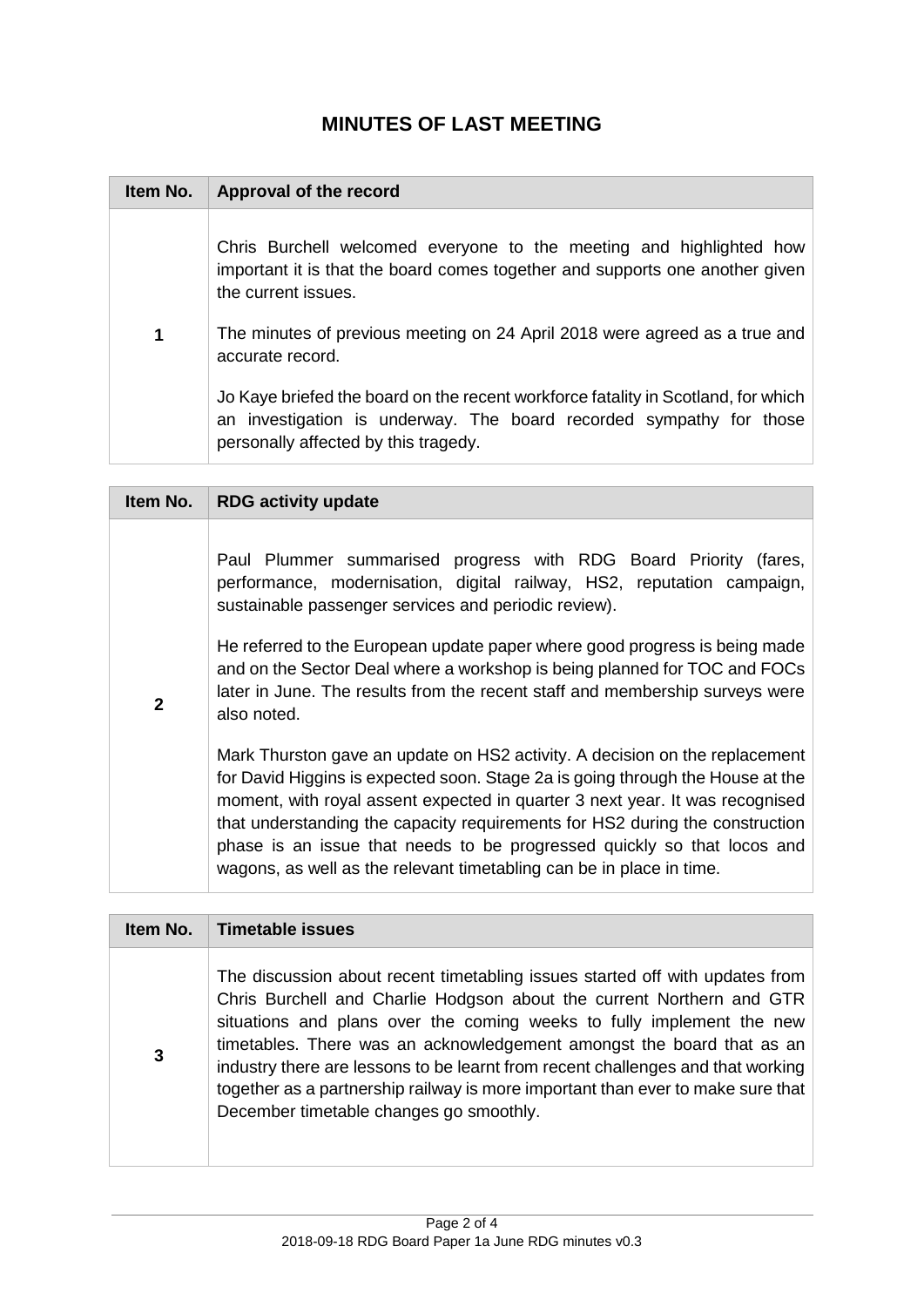## **MINUTES OF LAST MEETING**

| Item No. | Approval of the record                                                                                                                                                                           |
|----------|--------------------------------------------------------------------------------------------------------------------------------------------------------------------------------------------------|
|          | Chris Burchell welcomed everyone to the meeting and highlighted how<br>important it is that the board comes together and supports one another given<br>the current issues.                       |
| 1        | The minutes of previous meeting on 24 April 2018 were agreed as a true and<br>accurate record.                                                                                                   |
|          | Jo Kaye briefed the board on the recent workforce fatality in Scotland, for which<br>an investigation is underway. The board recorded sympathy for those<br>personally affected by this tragedy. |

| Item No.       | <b>RDG activity update</b>                                                                                                                                                                                                                                                                                                                                                                                                                                                       |
|----------------|----------------------------------------------------------------------------------------------------------------------------------------------------------------------------------------------------------------------------------------------------------------------------------------------------------------------------------------------------------------------------------------------------------------------------------------------------------------------------------|
|                | Paul Plummer summarised progress with RDG Board Priority (fares,<br>performance, modernisation, digital railway, HS2, reputation campaign,<br>sustainable passenger services and periodic review).                                                                                                                                                                                                                                                                               |
| $\overline{2}$ | He referred to the European update paper where good progress is being made<br>and on the Sector Deal where a workshop is being planned for TOC and FOCs<br>later in June. The results from the recent staff and membership surveys were<br>also noted.                                                                                                                                                                                                                           |
|                | Mark Thurston gave an update on HS2 activity. A decision on the replacement<br>for David Higgins is expected soon. Stage 2a is going through the House at the<br>moment, with royal assent expected in quarter 3 next year. It was recognised<br>that understanding the capacity requirements for HS2 during the construction<br>phase is an issue that needs to be progressed quickly so that locos and<br>wagons, as well as the relevant timetabling can be in place in time. |

| Item No. | Timetable issues                                                                                                                                                                                                                                                                                                                                                                                                                                                                                                         |
|----------|--------------------------------------------------------------------------------------------------------------------------------------------------------------------------------------------------------------------------------------------------------------------------------------------------------------------------------------------------------------------------------------------------------------------------------------------------------------------------------------------------------------------------|
| 3        | The discussion about recent timetabling issues started off with updates from<br>Chris Burchell and Charlie Hodgson about the current Northern and GTR<br>situations and plans over the coming weeks to fully implement the new<br>timetables. There was an acknowledgement amongst the board that as an<br>industry there are lessons to be learnt from recent challenges and that working<br>together as a partnership railway is more important than ever to make sure that<br>December timetable changes go smoothly. |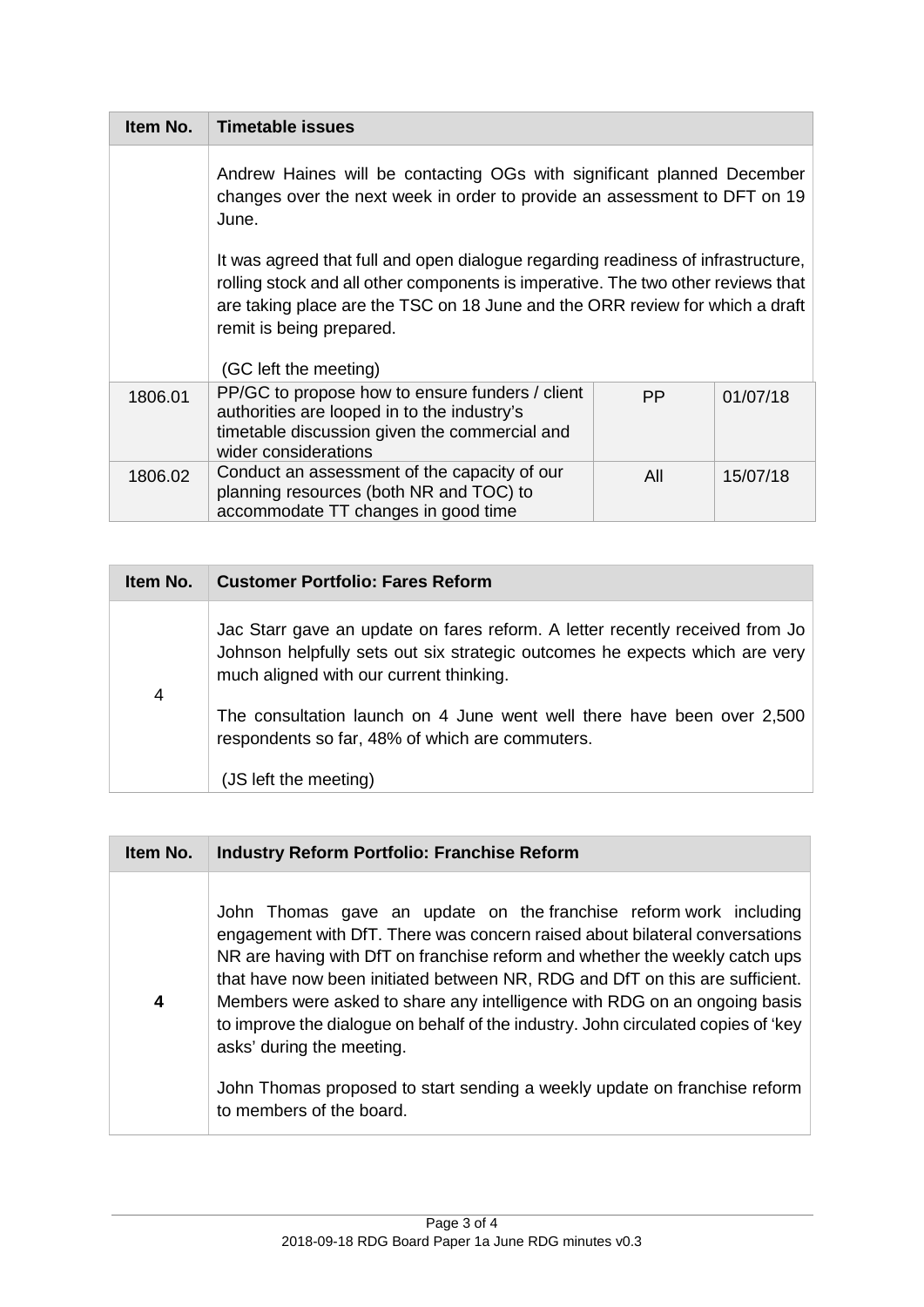| Item No. | <b>Timetable issues</b>                                                                                                                                                                                                                                                                                   |           |          |
|----------|-----------------------------------------------------------------------------------------------------------------------------------------------------------------------------------------------------------------------------------------------------------------------------------------------------------|-----------|----------|
|          | Andrew Haines will be contacting OGs with significant planned December<br>changes over the next week in order to provide an assessment to DFT on 19<br>June.                                                                                                                                              |           |          |
|          | It was agreed that full and open dialogue regarding readiness of infrastructure,<br>rolling stock and all other components is imperative. The two other reviews that<br>are taking place are the TSC on 18 June and the ORR review for which a draft<br>remit is being prepared.<br>(GC left the meeting) |           |          |
| 1806.01  | PP/GC to propose how to ensure funders / client<br>authorities are looped in to the industry's<br>timetable discussion given the commercial and<br>wider considerations                                                                                                                                   | <b>PP</b> | 01/07/18 |
| 1806.02  | Conduct an assessment of the capacity of our<br>planning resources (both NR and TOC) to<br>accommodate TT changes in good time                                                                                                                                                                            | All       | 15/07/18 |

| Item No. | <b>Customer Portfolio: Fares Reform</b>                                                                                                                                                                |
|----------|--------------------------------------------------------------------------------------------------------------------------------------------------------------------------------------------------------|
| 4        | Jac Starr gave an update on fares reform. A letter recently received from Jo<br>Johnson helpfully sets out six strategic outcomes he expects which are very<br>much aligned with our current thinking. |
|          | The consultation launch on 4 June went well there have been over 2,500<br>respondents so far, 48% of which are commuters.<br>(JS left the meeting)                                                     |

| Item No.         | <b>Industry Reform Portfolio: Franchise Reform</b>                                                                                                                                                                                                                                                                                                                                                                                                                                                             |
|------------------|----------------------------------------------------------------------------------------------------------------------------------------------------------------------------------------------------------------------------------------------------------------------------------------------------------------------------------------------------------------------------------------------------------------------------------------------------------------------------------------------------------------|
| $\boldsymbol{4}$ | John Thomas gave an update on the franchise reform work including<br>engagement with DfT. There was concern raised about bilateral conversations<br>NR are having with DfT on franchise reform and whether the weekly catch ups<br>that have now been initiated between NR, RDG and DfT on this are sufficient.<br>Members were asked to share any intelligence with RDG on an ongoing basis<br>to improve the dialogue on behalf of the industry. John circulated copies of 'key<br>asks' during the meeting. |
|                  | John Thomas proposed to start sending a weekly update on franchise reform<br>to members of the board.                                                                                                                                                                                                                                                                                                                                                                                                          |